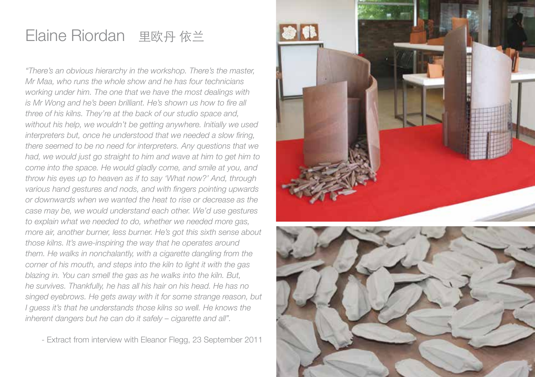## Elaine Riordan 里欧丹 依兰

*"There's an obvious hierarchy in the workshop. There's the master, Mr Maa, who runs the whole show and he has four technicians working under him. The one that we have the most dealings with is Mr Wong and he's been brilliant. He's shown us how to fire all three of his kilns. They're at the back of our studio space and, without his help, we wouldn't be getting anywhere. Initially we used interpreters but, once he understood that we needed a slow firing, there seemed to be no need for interpreters. Any questions that we had, we would just go straight to him and wave at him to get him to come into the space. He would gladly come, and smile at you, and throw his eyes up to heaven as if to say 'What now?' And, through various hand gestures and nods, and with fingers pointing upwards or downwards when we wanted the heat to rise or decrease as the case may be, we would understand each other. We'd use gestures to explain what we needed to do, whether we needed more gas, more air, another burner, less burner. He's got this sixth sense about those kilns. It's awe-inspiring the way that he operates around them. He walks in nonchalantly, with a cigarette dangling from the corner of his mouth, and steps into the kiln to light it with the gas blazing in. You can smell the gas as he walks into the kiln. But, he survives. Thankfully, he has all his hair on his head. He has no singed eyebrows. He gets away with it for some strange reason, but I* guess it's that he understands those kilns so well. He knows the *inherent dangers but he can do it safely – cigarette and all".* 

- Extract from interview with Eleanor Flegg, 23 September 2011



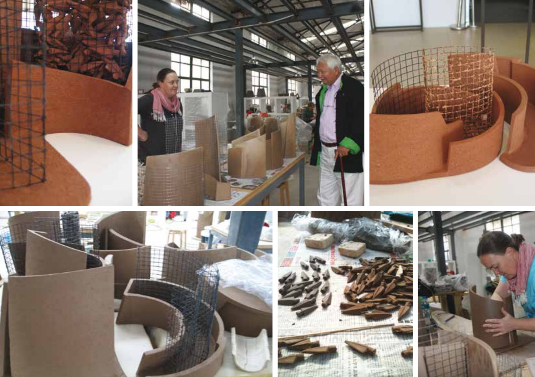





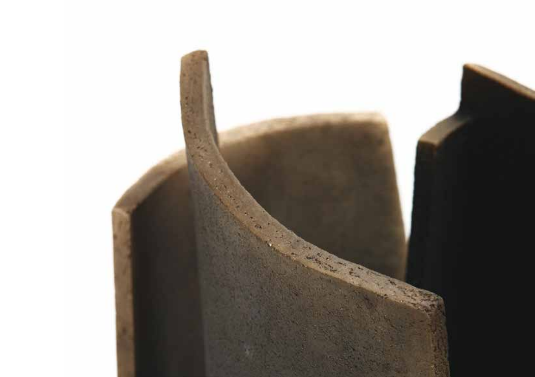